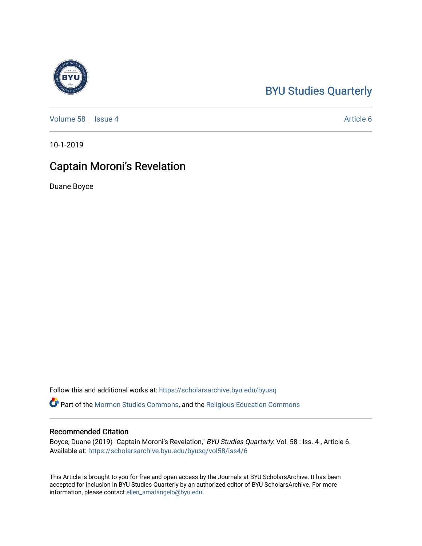# [BYU Studies Quarterly](https://scholarsarchive.byu.edu/byusq)

[Volume 58](https://scholarsarchive.byu.edu/byusq/vol58) | [Issue 4](https://scholarsarchive.byu.edu/byusq/vol58/iss4) Article 6

10-1-2019

## Captain Moroni's Revelation

Duane Boyce

Follow this and additional works at: [https://scholarsarchive.byu.edu/byusq](https://scholarsarchive.byu.edu/byusq?utm_source=scholarsarchive.byu.edu%2Fbyusq%2Fvol58%2Fiss4%2F6&utm_medium=PDF&utm_campaign=PDFCoverPages) 

Part of the [Mormon Studies Commons](http://network.bepress.com/hgg/discipline/1360?utm_source=scholarsarchive.byu.edu%2Fbyusq%2Fvol58%2Fiss4%2F6&utm_medium=PDF&utm_campaign=PDFCoverPages), and the [Religious Education Commons](http://network.bepress.com/hgg/discipline/1414?utm_source=scholarsarchive.byu.edu%2Fbyusq%2Fvol58%2Fiss4%2F6&utm_medium=PDF&utm_campaign=PDFCoverPages) 

### Recommended Citation

Boyce, Duane (2019) "Captain Moroni's Revelation," BYU Studies Quarterly: Vol. 58 : Iss. 4, Article 6. Available at: [https://scholarsarchive.byu.edu/byusq/vol58/iss4/6](https://scholarsarchive.byu.edu/byusq/vol58/iss4/6?utm_source=scholarsarchive.byu.edu%2Fbyusq%2Fvol58%2Fiss4%2F6&utm_medium=PDF&utm_campaign=PDFCoverPages)

This Article is brought to you for free and open access by the Journals at BYU ScholarsArchive. It has been accepted for inclusion in BYU Studies Quarterly by an authorized editor of BYU ScholarsArchive. For more information, please contact [ellen\\_amatangelo@byu.edu.](mailto:ellen_amatangelo@byu.edu)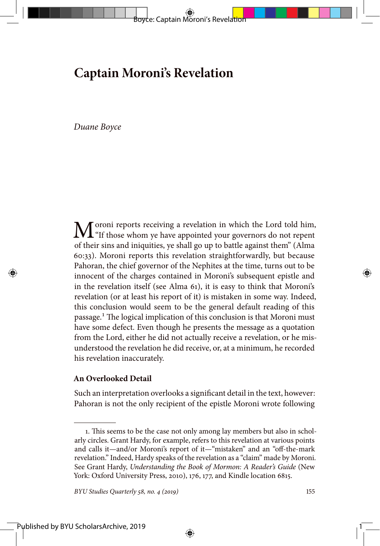Boyce: Captain Moroni's Revelation

*Duane Boyce*

 $\mathbf{M}$ <sup>oroni</sup> reports receiving a revelation in which the Lord told him,  $\mathbf{M}$ <sup>or</sup>ff those whom ye have appointed your governors do not repent of their sins and iniquities, ye shall go up to battle against them" (Alma 60:33). Moroni reports this revelation straightforwardly, but because Pahoran, the chief governor of the Nephites at the time, turns out to be innocent of the charges contained in Moroni's subsequent epistle and in the revelation itself (see Alma 61), it is easy to think that Moroni's revelation (or at least his report of it) is mistaken in some way. Indeed, this conclusion would seem to be the general default reading of this passage.1 The logical implication of this conclusion is that Moroni must have some defect. Even though he presents the message as a quotation from the Lord, either he did not actually receive a revelation, or he misunderstood the revelation he did receive, or, at a minimum, he recorded his revelation inaccurately.

#### **An Overlooked Detail**

Such an interpretation overlooks a significant detail in the text, however: Pahoran is not the only recipient of the epistle Moroni wrote following

⊕

*BYU Studies Quarterly 58, no. 4 (2019)* 155

1

<sup>1.</sup> This seems to be the case not only among lay members but also in scholarly circles. Grant Hardy, for example, refers to this revelation at various points and calls it—and/or Moroni's report of it—"mistaken" and an "off-the-mark revelation." Indeed, Hardy speaks of the revelation as a "claim" made by Moroni. See Grant Hardy, *Understanding the Book of Mormon: A Reader's Guide* (New York: Oxford University Press, 2010), 176, 177, and Kindle location 6815.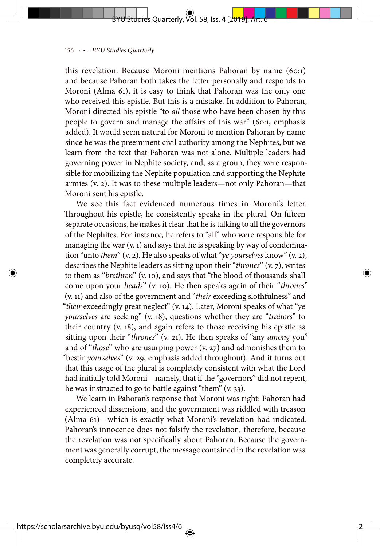### BYU Studies Quarterly, Vol. 58, Iss. 4 [2019], Art. 6

#### $156 \sim$  *BYU Studies Quarterly*

this revelation. Because Moroni mentions Pahoran by name (60:1) and because Pahoran both takes the letter personally and responds to Moroni (Alma 61), it is easy to think that Pahoran was the only one who received this epistle. But this is a mistake. In addition to Pahoran, Moroni directed his epistle "to *all* those who have been chosen by this people to govern and manage the affairs of this war" (60:1, emphasis added). It would seem natural for Moroni to mention Pahoran by name since he was the preeminent civil authority among the Nephites, but we learn from the text that Pahoran was not alone. Multiple leaders had governing power in Nephite society, and, as a group, they were responsible for mobilizing the Nephite population and supporting the Nephite armies (v. 2). It was to these multiple leaders—not only Pahoran—that Moroni sent his epistle.

We see this fact evidenced numerous times in Moroni's letter. Throughout his epistle, he consistently speaks in the plural. On fifteen separate occasions, he makes it clear that he is talking to all the governors of the Nephites. For instance, he refers to "all" who were responsible for managing the war (v. 1) and says that he is speaking by way of condemnation "unto *them*" (v. 2). He also speaks of what "*ye yourselves* know" (v. 2), describes the Nephite leaders as sitting upon their "*thrones*" (v. 7), writes to them as "*brethren*" (v. 10), and says that "the blood of thousands shall come upon your *heads*" (v. 10). He then speaks again of their "*thrones*" (v. 11) and also of the government and "*their* exceeding slothfulness" and "*their* exceedingly great neglect" (v. 14). Later, Moroni speaks of what "ye *yourselves* are seeking" (v. 18), questions whether they are "*traitors*" to their country (v. 18), and again refers to those receiving his epistle as sitting upon their "*thrones*" (v. 21). He then speaks of "any *among* you" and of "*those*" who are usurping power (v. 27) and admonishes them to "bestir *yourselves*" (v. 29, emphasis added throughout). And it turns out that this usage of the plural is completely consistent with what the Lord had initially told Moroni—namely, that if the "governors" did not repent, he was instructed to go to battle against "them" (v. 33).

We learn in Pahoran's response that Moroni was right: Pahoran had experienced dissensions, and the government was riddled with treason (Alma 61)—which is exactly what Moroni's revelation had indicated. Pahoran's innocence does not falsify the revelation, therefore, because the revelation was not specifically about Pahoran. Because the government was generally corrupt, the message contained in the revelation was completely accurate.

2

⇔

⇔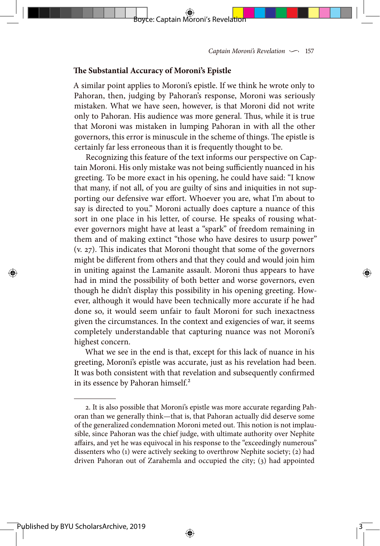#### **The Substantial Accuracy of Moroni's Epistle**

A similar point applies to Moroni's epistle. If we think he wrote only to Pahoran, then, judging by Pahoran's response, Moroni was seriously mistaken. What we have seen, however, is that Moroni did not write only to Pahoran. His audience was more general. Thus, while it is true that Moroni was mistaken in lumping Pahoran in with all the other governors, this error is minuscule in the scheme of things. The epistle is certainly far less erroneous than it is frequently thought to be.

Boyce: Captain Moroni's Revelation

Recognizing this feature of the text informs our perspective on Captain Moroni. His only mistake was not being sufficiently nuanced in his greeting. To be more exact in his opening, he could have said: "I know that many, if not all, of you are guilty of sins and iniquities in not supporting our defensive war effort. Whoever you are, what I'm about to say is directed to you." Moroni actually does capture a nuance of this sort in one place in his letter, of course. He speaks of rousing whatever governors might have at least a "spark" of freedom remaining in them and of making extinct "those who have desires to usurp power" (v. 27). This indicates that Moroni thought that some of the governors might be different from others and that they could and would join him in uniting against the Lamanite assault. Moroni thus appears to have had in mind the possibility of both better and worse governors, even though he didn't display this possibility in his opening greeting. However, although it would have been technically more accurate if he had done so, it would seem unfair to fault Moroni for such inexactness given the circumstances. In the context and exigencies of war, it seems completely understandable that capturing nuance was not Moroni's highest concern.

What we see in the end is that, except for this lack of nuance in his greeting, Moroni's epistle was accurate, just as his revelation had been. It was both consistent with that revelation and subsequently confirmed in its essence by Pahoran himself.<sup>2</sup>

⊕

3

⊕

Published by BYU ScholarsArchive, 2019

<sup>2.</sup> It is also possible that Moroni's epistle was more accurate regarding Pahoran than we generally think—that is, that Pahoran actually did deserve some of the generalized condemnation Moroni meted out. This notion is not implausible, since Pahoran was the chief judge, with ultimate authority over Nephite affairs, and yet he was equivocal in his response to the "exceedingly numerous" dissenters who (1) were actively seeking to overthrow Nephite society; (2) had driven Pahoran out of Zarahemla and occupied the city; (3) had appointed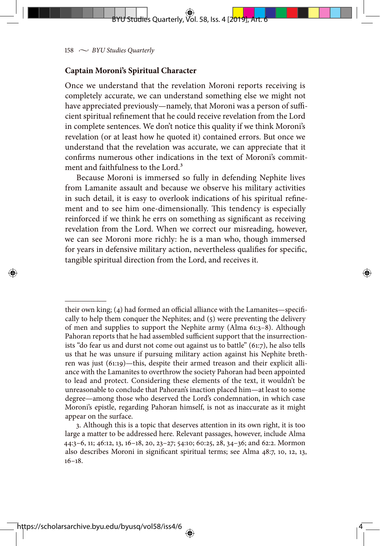$158 \sim$  *BYU Studies Quarterly* 

### **Captain Moroni's Spiritual Character**

Once we understand that the revelation Moroni reports receiving is completely accurate, we can understand something else we might not have appreciated previously—namely, that Moroni was a person of sufficient spiritual refinement that he could receive revelation from the Lord in complete sentences. We don't notice this quality if we think Moroni's revelation (or at least how he quoted it) contained errors. But once we understand that the revelation was accurate, we can appreciate that it confirms numerous other indications in the text of Moroni's commitment and faithfulness to the Lord.<sup>3</sup>

BYU Studies Quarterly, Vol. 58, Iss. 4 [2019], Art. 6

Because Moroni is immersed so fully in defending Nephite lives from Lamanite assault and because we observe his military activities in such detail, it is easy to overlook indications of his spiritual refinement and to see him one-dimensionally. This tendency is especially reinforced if we think he errs on something as significant as receiving revelation from the Lord. When we correct our misreading, however, we can see Moroni more richly: he is a man who, though immersed for years in defensive military action, nevertheless qualifies for specific, tangible spiritual direction from the Lord, and receives it.

their own king; (4) had formed an official alliance with the Lamanites—specifically to help them conquer the Nephites; and (5) were preventing the delivery of men and supplies to support the Nephite army (Alma 61:3–8). Although Pahoran reports that he had assembled sufficient support that the insurrectionists "do fear us and durst not come out against us to battle" (61:7), he also tells us that he was unsure if pursuing military action against his Nephite brethren was just (61:19)—this, despite their armed treason and their explicit alliance with the Lamanites to overthrow the society Pahoran had been appointed to lead and protect. Considering these elements of the text, it wouldn't be unreasonable to conclude that Pahoran's inaction placed him—at least to some degree—among those who deserved the Lord's condemnation, in which case Moroni's epistle, regarding Pahoran himself, is not as inaccurate as it might appear on the surface.

3. Although this is a topic that deserves attention in its own right, it is too large a matter to be addressed here. Relevant passages, however, include Alma 44:3–6, 11; 46:12, 13, 16–18, 20, 23–27; 54:10; 60:25, 28, 34–36; and 62:2. Mormon also describes Moroni in significant spiritual terms; see Alma 48:7, 10, 12, 13, 16–18.

4

⇔